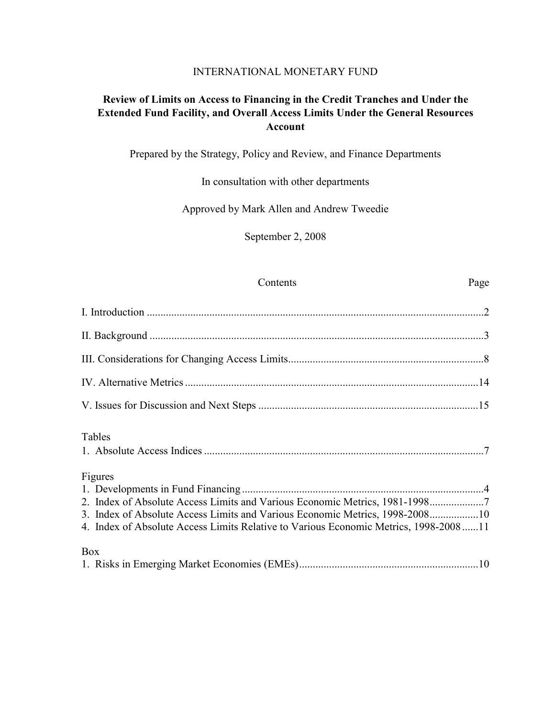### INTERNATIONAL MONETARY FUND

# **Review of Limits on Access to Financing in the Credit Tranches and Under the Extended Fund Facility, and Overall Access Limits Under the General Resources Account**

Prepared by the Strategy, Policy and Review, and Finance Departments

In consultation with other departments

Approved by Mark Allen and Andrew Tweedie

September 2, 2008

### Contents Page

| Tables                                                                                                                                                                                                                                                         |
|----------------------------------------------------------------------------------------------------------------------------------------------------------------------------------------------------------------------------------------------------------------|
| Figures<br>2. Index of Absolute Access Limits and Various Economic Metrics, 1981-19987<br>3. Index of Absolute Access Limits and Various Economic Metrics, 1998-200810<br>4. Index of Absolute Access Limits Relative to Various Economic Metrics, 1998-200811 |
| <b>Box</b>                                                                                                                                                                                                                                                     |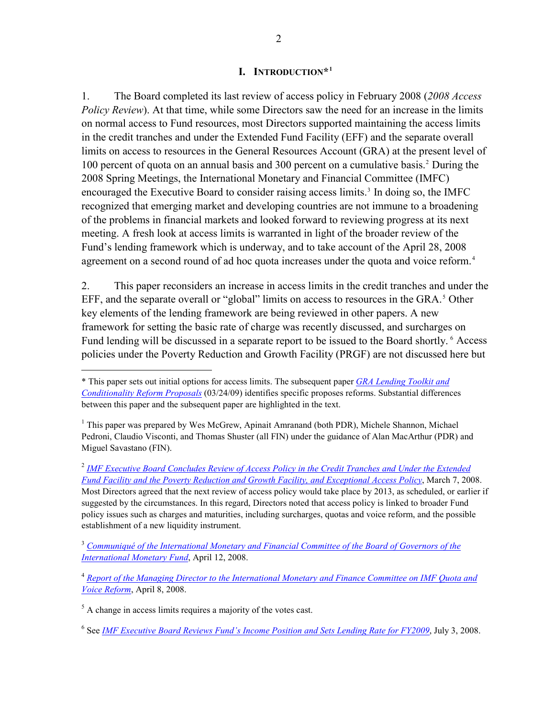### **I. INTRODUCTION\*[1](#page-1-1)**

<span id="page-1-0"></span>1. The Board completed its last review of access policy in February 2008 (*2008 Access Policy Review*). At that time, while some Directors saw the need for an increase in the limits on normal access to Fund resources, most Directors supported maintaining the access limits in the credit tranches and under the Extended Fund Facility (EFF) and the separate overall limits on access to resources in the General Resources Account (GRA) at the present level of 100 percent of quota on an annual basis and 300 percent on a cumulative basis.<sup>[2](#page-1-2)</sup> During the 2008 Spring Meetings, the International Monetary and Financial Committee (IMFC) encouraged the Executive Board to consider raising access limits.<sup>[3](#page-1-3)</sup> In doing so, the IMFC recognized that emerging market and developing countries are not immune to a broadening of the problems in financial markets and looked forward to reviewing progress at its next meeting. A fresh look at access limits is warranted in light of the broader review of the Fund's lending framework which is underway, and to take account of the April 28, 2008 agreement on a second round of ad hoc quota increases under the quota and voice reform.<sup>[4](#page-1-4)</sup>

2. This paper reconsiders an increase in access limits in the credit tranches and under the EFF, and the separate overall or "global" limits on access to resources in the GRA.<sup>[5](#page-1-5)</sup> Other key elements of the lending framework are being reviewed in other papers. A new framework for setting the basic rate of charge was recently discussed, and surcharges on Fund lending will be discussed in a separate report to be issued to the Board shortly. <sup>[6](#page-1-6)</sup> Access policies under the Poverty Reduction and Growth Facility (PRGF) are not discussed here but

<span id="page-1-1"></span><sup>\*</sup> This paper sets out initial options for access limits. The subsequent paper *[GRA Lending Toolkit and](http://www.imf.org/external/np/pp/eng/2009/031309A.pdf)  [Conditionality Reform Proposals](http://www.imf.org/external/np/pp/eng/2009/031309A.pdf)* (03/24/09) identifies specific proposes reforms. Substantial differences between this paper and the subsequent paper are highlighted in the text.

<sup>&</sup>lt;sup>1</sup> This paper was prepared by Wes McGrew, Apinait Amranand (both PDR), Michele Shannon, Michael Pedroni, Claudio Visconti, and Thomas Shuster (all FIN) under the guidance of Alan MacArthur (PDR) and Miguel Savastano (FIN).

<span id="page-1-2"></span><sup>2</sup> *[IMF Executive Board Concludes Review of Access Policy in the Credit Tranches and Under the Extended](http://www.imf.org/external/np/sec/pn/2008/pn0830.htm)  [Fund Facility and the Poverty Reduction and Growth Facility, and Exceptional Access Policy](http://www.imf.org/external/np/sec/pn/2008/pn0830.htm)*, March 7, 2008. Most Directors agreed that the next review of access policy would take place by 2013, as scheduled, or earlier if suggested by the circumstances. In this regard, Directors noted that access policy is linked to broader Fund policy issues such as charges and maturities, including surcharges, quotas and voice reform, and the possible establishment of a new liquidity instrument.

<span id="page-1-3"></span><sup>3</sup> *[Communiqué of the International Monetary and Financial Committee of the Board of Governors of the](http://www.imf.org/external/np/cm/2008/041208.htm)  [International Monetary Fund](http://www.imf.org/external/np/cm/2008/041208.htm)*, April 12, 2008.

<span id="page-1-4"></span><sup>4</sup> *[Report of the Managing Director to the International Monetary and Finance Committee on IMF Quota and](http://www.imf.org/external/pp/longres.aspx?id=4242)  [Voice Reform](http://www.imf.org/external/pp/longres.aspx?id=4242)*, April 8, 2008.

<span id="page-1-5"></span> $<sup>5</sup>$  A change in access limits requires a majority of the votes cast.</sup>

<span id="page-1-6"></span><sup>6</sup> See *[IMF Executive Board Reviews Fund's Income Position and Sets Lending Rate for FY2009](http://www.imf.org/external/np/sec/pr/2008/pr08160.htm)*, July 3, 2008.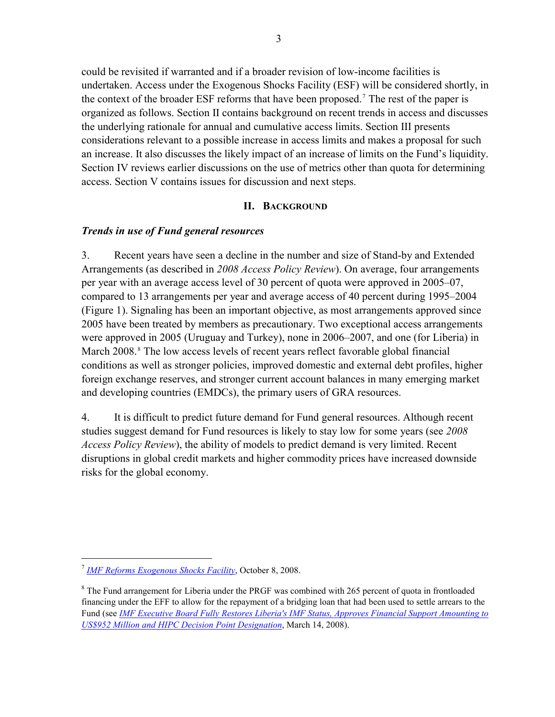<span id="page-2-0"></span>could be revisited if warranted and if a broader revision of low-income facilities is undertaken. Access under the Exogenous Shocks Facility (ESF) will be considered shortly, in the context of the broader ESF reforms that have been proposed.<sup>7</sup> The rest of the paper is organized as follows. Section II contains background on recent trends in access and discusses the underlying rationale for annual and cumulative access limits. Section III presents considerations relevant to a possible increase in access limits and makes a proposal for such an increase. It also discusses the likely impact of an increase of limits on the Fund's liquidity. Section IV reviews earlier discussions on the use of metrics other than quota for determining access. Section V contains issues for discussion and next steps.

## **II. BACKGROUND**

## *Trends in use of Fund general resources*

3. Recent years have seen a decline in the number and size of Stand-by and Extended Arrangements (as described in *2008 Access Policy Review*). On average, four arrangements per year with an average access level of 30 percent of quota were approved in 2005–07, compared to 13 arrangements per year and average access of 40 percent during 1995–2004 (Figure 1). Signaling has been an important objective, as most arrangements approved since 2005 have been treated by members as precautionary. Two exceptional access arrangements were approved in 2005 (Uruguay and Turkey), none in 2006–2007, and one (for Liberia) in March 200[8](#page-2-1).<sup>8</sup> The low access levels of recent years reflect favorable global financial conditions as well as stronger policies, improved domestic and external debt profiles, higher foreign exchange reserves, and stronger current account balances in many emerging market and developing countries (EMDCs), the primary users of GRA resources.

4. It is difficult to predict future demand for Fund general resources. Although recent studies suggest demand for Fund resources is likely to stay low for some years (see *2008 Access Policy Review*), the ability of models to predict demand is very limited. Recent disruptions in global credit markets and higher commodity prices have increased downside risks for the global economy.

<sup>7</sup> *[IMF Reforms Exogenous Shocks Facility](http://www.imf.org/external/np/sec/pn/2008/pn08130.htm)*, October 8, 2008.

<span id="page-2-1"></span> $8$  The Fund arrangement for Liberia under the PRGF was combined with 265 percent of quota in frontloaded financing under the EFF to allow for the repayment of a bridging loan that had been used to settle arrears to the Fund (see *[IMF Executive Board Fully Restores Liberia's IMF Status, Approves Financial Support Amounting to](http://www.imf.org/external/np/sec/pr/2008/pr0852.htm)  [US\\$952 Million and HIPC Decision Point Designation](http://www.imf.org/external/np/sec/pr/2008/pr0852.htm)*, March 14, 2008).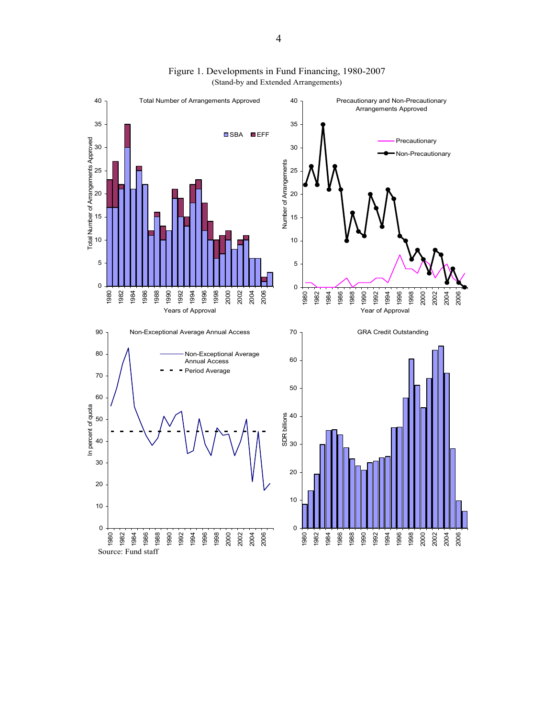

Figure 1. Developments in Fund Financing, 1980-2007 (Stand-by and Extended Arrangements)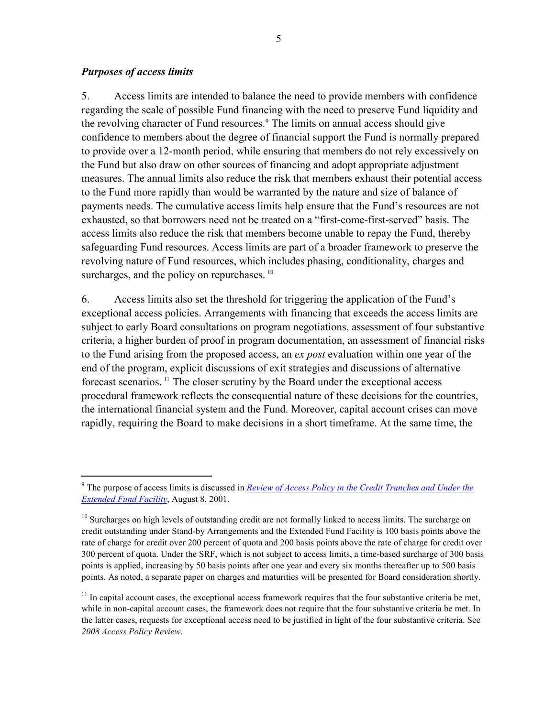### *Purposes of access limits*

 $\overline{a}$ 

5. Access limits are intended to balance the need to provide members with confidence regarding the scale of possible Fund financing with the need to preserve Fund liquidity and the revolving character of Fund resources.<sup>[9](#page-4-0)</sup> The limits on annual access should give confidence to members about the degree of financial support the Fund is normally prepared to provide over a 12-month period, while ensuring that members do not rely excessively on the Fund but also draw on other sources of financing and adopt appropriate adjustment measures. The annual limits also reduce the risk that members exhaust their potential access to the Fund more rapidly than would be warranted by the nature and size of balance of payments needs. The cumulative access limits help ensure that the Fund's resources are not exhausted, so that borrowers need not be treated on a "first-come-first-served" basis. The access limits also reduce the risk that members become unable to repay the Fund, thereby safeguarding Fund resources. Access limits are part of a broader framework to preserve the revolving nature of Fund resources, which includes phasing, conditionality, charges and surcharges, and the policy on repurchases.<sup>[10](#page-4-1)</sup>

6. Access limits also set the threshold for triggering the application of the Fund's exceptional access policies. Arrangements with financing that exceeds the access limits are subject to early Board consultations on program negotiations, assessment of four substantive criteria, a higher burden of proof in program documentation, an assessment of financial risks to the Fund arising from the proposed access, an *ex post* evaluation within one year of the end of the program, explicit discussions of exit strategies and discussions of alternative forecast scenarios. [11](#page-4-2) The closer scrutiny by the Board under the exceptional access procedural framework reflects the consequential nature of these decisions for the countries, the international financial system and the Fund. Moreover, capital account crises can move rapidly, requiring the Board to make decisions in a short timeframe. At the same time, the

<span id="page-4-0"></span><sup>9</sup> The purpose of access limits is discussed in *[Review of Access Policy in the Credit Tranches and Under the](http://www.imf.org/external/np/tre/access/2001/080801.htm)  [Extended Fund Facility](http://www.imf.org/external/np/tre/access/2001/080801.htm)*, August 8, 2001.

<span id="page-4-1"></span><sup>&</sup>lt;sup>10</sup> Surcharges on high levels of outstanding credit are not formally linked to access limits. The surcharge on credit outstanding under Stand-by Arrangements and the Extended Fund Facility is 100 basis points above the rate of charge for credit over 200 percent of quota and 200 basis points above the rate of charge for credit over 300 percent of quota. Under the SRF, which is not subject to access limits, a time-based surcharge of 300 basis points is applied, increasing by 50 basis points after one year and every six months thereafter up to 500 basis points. As noted, a separate paper on charges and maturities will be presented for Board consideration shortly.

<span id="page-4-2"></span> $11$  In capital account cases, the exceptional access framework requires that the four substantive criteria be met, while in non-capital account cases, the framework does not require that the four substantive criteria be met. In the latter cases, requests for exceptional access need to be justified in light of the four substantive criteria. See *2008 Access Policy Review*.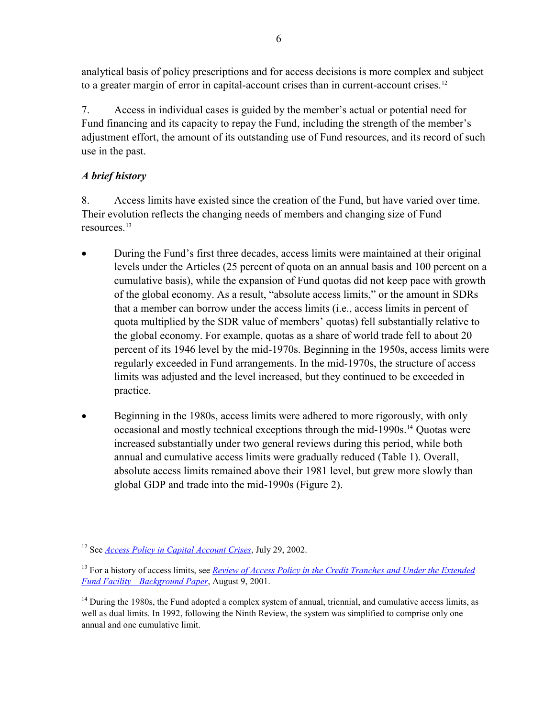analytical basis of policy prescriptions and for access decisions is more complex and subject to a greater margin of error in capital-account crises than in current-account crises.<sup>12</sup>

7. Access in individual cases is guided by the member's actual or potential need for Fund financing and its capacity to repay the Fund, including the strength of the member's adjustment effort, the amount of its outstanding use of Fund resources, and its record of such use in the past.

# *A brief history*

 $\overline{a}$ 

8. Access limits have existed since the creation of the Fund, but have varied over time. Their evolution reflects the changing needs of members and changing size of Fund resources.[13](#page-5-0)

- During the Fund's first three decades, access limits were maintained at their original levels under the Articles (25 percent of quota on an annual basis and 100 percent on a cumulative basis), while the expansion of Fund quotas did not keep pace with growth of the global economy. As a result, "absolute access limits," or the amount in SDRs that a member can borrow under the access limits (i.e., access limits in percent of quota multiplied by the SDR value of members' quotas) fell substantially relative to the global economy. For example, quotas as a share of world trade fell to about 20 percent of its 1946 level by the mid-1970s. Beginning in the 1950s, access limits were regularly exceeded in Fund arrangements. In the mid-1970s, the structure of access limits was adjusted and the level increased, but they continued to be exceeded in practice.
- Beginning in the 1980s, access limits were adhered to more rigorously, with only occasional and mostly technical exceptions through the mid-1990s.[14](#page-5-1) Quotas were increased substantially under two general reviews during this period, while both annual and cumulative access limits were gradually reduced (Table 1). Overall, absolute access limits remained above their 1981 level, but grew more slowly than global GDP and trade into the mid-1990s (Figure 2).

<sup>12</sup> See *[Access Policy in Capital Account Crises](http://www.imf.org/external/np/tre/access/2003/072902.htm)*, July 29, 2002.

<span id="page-5-0"></span><sup>13</sup> For a history of access limits, see *[Review of Access Policy in the Credit Tranches and Under the Extended](http://www.imf.org/external/np/tre/access/2001/080901.htm)  [Fund Facility—Background Paper](http://www.imf.org/external/np/tre/access/2001/080901.htm)*, August 9, 2001.

<span id="page-5-1"></span><sup>&</sup>lt;sup>14</sup> During the 1980s, the Fund adopted a complex system of annual, triennial, and cumulative access limits, as well as dual limits. In 1992, following the Ninth Review, the system was simplified to comprise only one annual and one cumulative limit.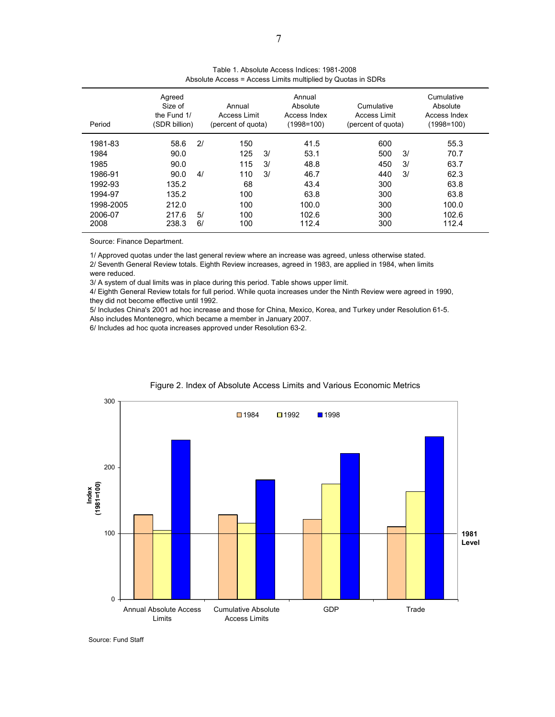| Period                                        | Agreed<br>Size of<br>the Fund 1/<br>(SDR billion) |          | Annual<br>Access Limit<br>(percent of quota) |                | Annual<br>Absolute<br>Access Index<br>$(1998=100)$ | Cumulative<br>Access Limit<br>(percent of quota) |                | Cumulative<br>Absolute<br>Access Index<br>$(1998=100)$ |
|-----------------------------------------------|---------------------------------------------------|----------|----------------------------------------------|----------------|----------------------------------------------------|--------------------------------------------------|----------------|--------------------------------------------------------|
| 1981-83<br>1984<br>1985<br>1986-91<br>1992-93 | 58.6<br>90.0<br>90.0<br>90.0<br>135.2             | 2l<br>4/ | 150<br>125<br>115<br>110<br>68               | 3/<br>3/<br>3/ | 41.5<br>53.1<br>48.8<br>46.7<br>43.4               | 600<br>500<br>450<br>440<br>300                  | 3/<br>3/<br>3/ | 55.3<br>70.7<br>63.7<br>62.3<br>63.8                   |
| 1994-97<br>1998-2005<br>2006-07<br>2008       | 135.2<br>212.0<br>217.6<br>238.3                  | 5/<br>6/ | 100<br>100<br>100<br>100                     |                | 63.8<br>100.0<br>102.6<br>112.4                    | 300<br>300<br>300<br>300                         |                | 63.8<br>100.0<br>102.6<br>112.4                        |

| Table 1. Absolute Access Indices: 1981-2008                  |  |
|--------------------------------------------------------------|--|
| Absolute Access = Access Limits multiplied by Quotas in SDRs |  |

Source: Finance Department.

1/ Approved quotas under the last general review where an increase was agreed, unless otherwise stated. 2/ Seventh General Review totals. Eighth Review increases, agreed in 1983, are applied in 1984, when limits were reduced.

3/ A system of dual limits was in place during this period. Table shows upper limit.

4/ Eighth General Review totals for full period. While quota increases under the Ninth Review were agreed in 1990, they did not become effective until 1992.

5/ Includes China's 2001 ad hoc increase and those for China, Mexico, Korea, and Turkey under Resolution 61-5. Also includes Montenegro, which became a member in January 2007.

6/ Includes ad hoc quota increases approved under Resolution 63-2.



#### Figure 2. Index of Absolute Access Limits and Various Economic Metrics

Source: Fund Staff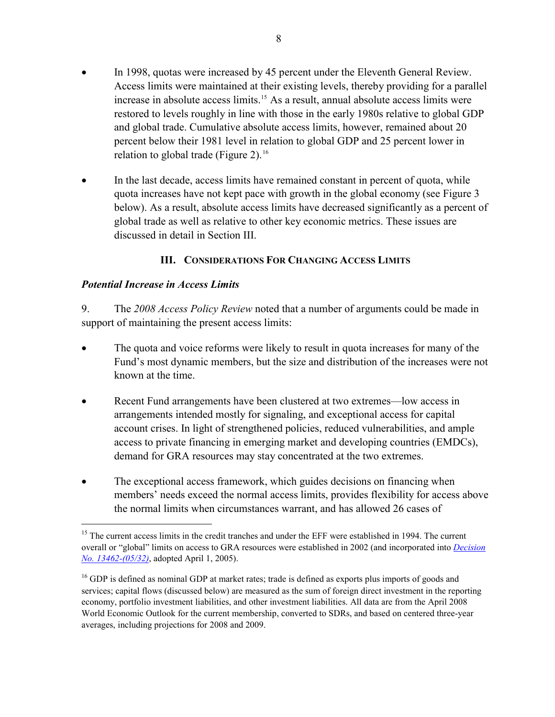- <span id="page-7-0"></span>• In 1998, quotas were increased by 45 percent under the Eleventh General Review. Access limits were maintained at their existing levels, thereby providing for a parallel increase in absolute access limits.[15](#page-7-1) As a result, annual absolute access limits were restored to levels roughly in line with those in the early 1980s relative to global GDP and global trade. Cumulative absolute access limits, however, remained about 20 percent below their 1981 level in relation to global GDP and 25 percent lower in relation to global trade (Figure 2).<sup>[16](#page-7-2)</sup>
- In the last decade, access limits have remained constant in percent of quota, while quota increases have not kept pace with growth in the global economy (see Figure 3 below). As a result, absolute access limits have decreased significantly as a percent of global trade as well as relative to other key economic metrics. These issues are discussed in detail in Section III.

## **III. CONSIDERATIONS FOR CHANGING ACCESS LIMITS**

## *Potential Increase in Access Limits*

 $\overline{a}$ 

9. The *2008 Access Policy Review* noted that a number of arguments could be made in support of maintaining the present access limits:

- The quota and voice reforms were likely to result in quota increases for many of the Fund's most dynamic members, but the size and distribution of the increases were not known at the time.
- Recent Fund arrangements have been clustered at two extremes—low access in arrangements intended mostly for signaling, and exceptional access for capital account crises. In light of strengthened policies, reduced vulnerabilities, and ample access to private financing in emerging market and developing countries (EMDCs), demand for GRA resources may stay concentrated at the two extremes.
- The exceptional access framework, which guides decisions on financing when members' needs exceed the normal access limits, provides flexibility for access above the normal limits when circumstances warrant, and has allowed 26 cases of

<span id="page-7-1"></span><sup>&</sup>lt;sup>15</sup> The current access limits in the credit tranches and under the EFF were established in 1994. The current overall or "global" limits on access to GRA resources were established in 2002 (and incorporated into *[Decision](http://www.imf.org/external/pubs/ft/sd/index.asp?decision=13462-(05/32))  [No. 13462-\(05/32\)](http://www.imf.org/external/pubs/ft/sd/index.asp?decision=13462-(05/32))*, adopted April 1, 2005).

<span id="page-7-2"></span><sup>&</sup>lt;sup>16</sup> GDP is defined as nominal GDP at market rates; trade is defined as exports plus imports of goods and services; capital flows (discussed below) are measured as the sum of foreign direct investment in the reporting economy, portfolio investment liabilities, and other investment liabilities. All data are from the April 2008 World Economic Outlook for the current membership, converted to SDRs, and based on centered three-year averages, including projections for 2008 and 2009.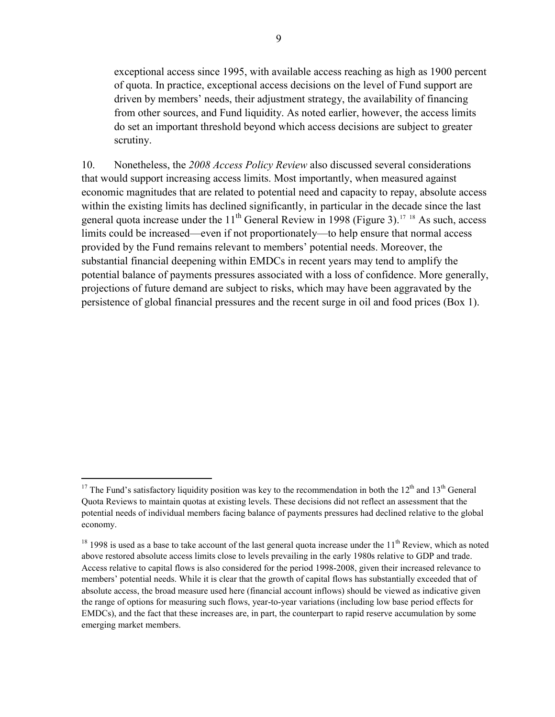exceptional access since 1995, with available access reaching as high as 1900 percent of quota. In practice, exceptional access decisions on the level of Fund support are driven by members' needs, their adjustment strategy, the availability of financing from other sources, and Fund liquidity. As noted earlier, however, the access limits do set an important threshold beyond which access decisions are subject to greater scrutiny.

10. Nonetheless, the *2008 Access Policy Review* also discussed several considerations that would support increasing access limits. Most importantly, when measured against economic magnitudes that are related to potential need and capacity to repay, absolute access within the existing limits has declined significantly, in particular in the decade since the last general quota increase under the  $11<sup>th</sup>$  General Review in 1998 (Figure 3).<sup>[17](#page-8-0)</sup> <sup>[18](#page-8-1)</sup> As such, access limits could be increased—even if not proportionately—to help ensure that normal access provided by the Fund remains relevant to members' potential needs. Moreover, the substantial financial deepening within EMDCs in recent years may tend to amplify the potential balance of payments pressures associated with a loss of confidence. More generally, projections of future demand are subject to risks, which may have been aggravated by the persistence of global financial pressures and the recent surge in oil and food prices (Box 1).

<span id="page-8-0"></span><sup>&</sup>lt;sup>17</sup> The Fund's satisfactory liquidity position was key to the recommendation in both the  $12<sup>th</sup>$  and  $13<sup>th</sup>$  General Quota Reviews to maintain quotas at existing levels. These decisions did not reflect an assessment that the potential needs of individual members facing balance of payments pressures had declined relative to the global economy.

<span id="page-8-1"></span> $18$  1998 is used as a base to take account of the last general quota increase under the  $11^{th}$  Review, which as noted above restored absolute access limits close to levels prevailing in the early 1980s relative to GDP and trade. Access relative to capital flows is also considered for the period 1998-2008, given their increased relevance to members' potential needs. While it is clear that the growth of capital flows has substantially exceeded that of absolute access, the broad measure used here (financial account inflows) should be viewed as indicative given the range of options for measuring such flows, year-to-year variations (including low base period effects for EMDCs), and the fact that these increases are, in part, the counterpart to rapid reserve accumulation by some emerging market members.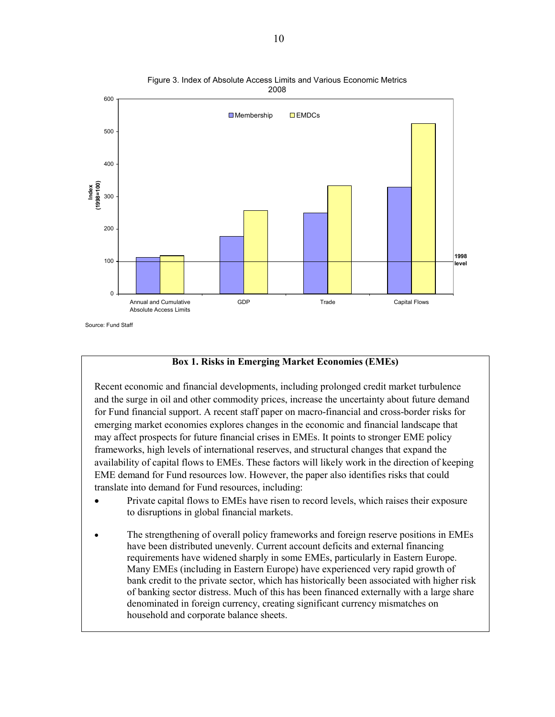

Figure 3. Index of Absolute Access Limits and Various Economic Metrics 2008

### **Box 1. Risks in Emerging Market Economies (EMEs)**

Recent economic and financial developments, including prolonged credit market turbulence and the surge in oil and other commodity prices, increase the uncertainty about future demand for Fund financial support. A recent staff paper on macro-financial and cross-border risks for emerging market economies explores changes in the economic and financial landscape that may affect prospects for future financial crises in EMEs. It points to stronger EME policy frameworks, high levels of international reserves, and structural changes that expand the availability of capital flows to EMEs. These factors will likely work in the direction of keeping EME demand for Fund resources low. However, the paper also identifies risks that could translate into demand for Fund resources, including:

- Private capital flows to EMEs have risen to record levels, which raises their exposure to disruptions in global financial markets.
- The strengthening of overall policy frameworks and foreign reserve positions in EMEs have been distributed unevenly. Current account deficits and external financing requirements have widened sharply in some EMEs, particularly in Eastern Europe. Many EMEs (including in Eastern Europe) have experienced very rapid growth of bank credit to the private sector, which has historically been associated with higher risk of banking sector distress. Much of this has been financed externally with a large share denominated in foreign currency, creating significant currency mismatches on household and corporate balance sheets.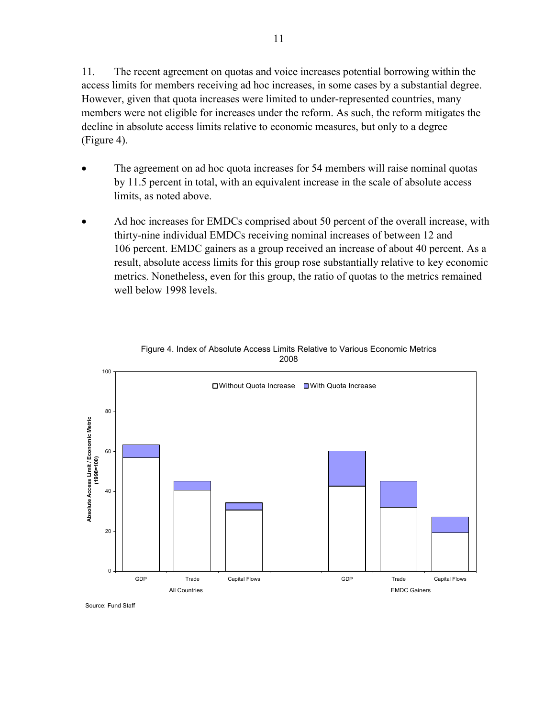11. The recent agreement on quotas and voice increases potential borrowing within the access limits for members receiving ad hoc increases, in some cases by a substantial degree. However, given that quota increases were limited to under-represented countries, many members were not eligible for increases under the reform. As such, the reform mitigates the decline in absolute access limits relative to economic measures, but only to a degree (Figure 4).

- The agreement on ad hoc quota increases for 54 members will raise nominal quotas by 11.5 percent in total, with an equivalent increase in the scale of absolute access limits, as noted above.
- Ad hoc increases for EMDCs comprised about 50 percent of the overall increase, with thirty-nine individual EMDCs receiving nominal increases of between 12 and 106 percent. EMDC gainers as a group received an increase of about 40 percent. As a result, absolute access limits for this group rose substantially relative to key economic metrics. Nonetheless, even for this group, the ratio of quotas to the metrics remained well below 1998 levels.



Figure 4. Index of Absolute Access Limits Relative to Various Economic Metrics 2008

Source: Fund Staff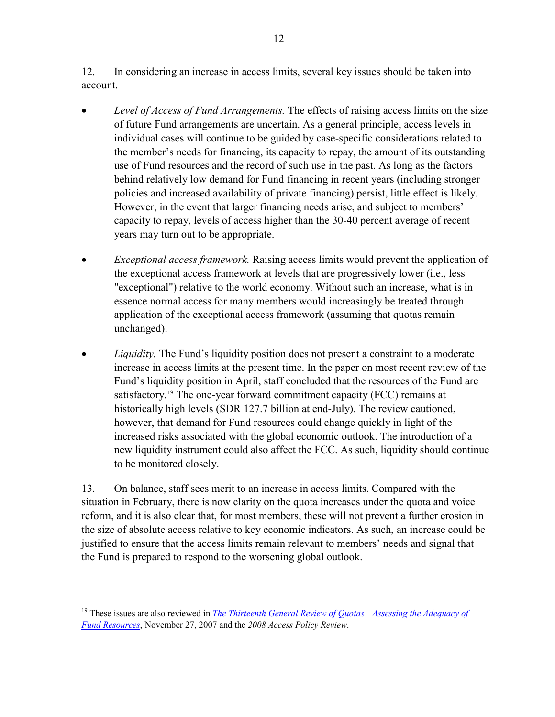12. In considering an increase in access limits, several key issues should be taken into account.

- *Level of Access of Fund Arrangements.* The effects of raising access limits on the size of future Fund arrangements are uncertain. As a general principle, access levels in individual cases will continue to be guided by case-specific considerations related to the member's needs for financing, its capacity to repay, the amount of its outstanding use of Fund resources and the record of such use in the past. As long as the factors behind relatively low demand for Fund financing in recent years (including stronger policies and increased availability of private financing) persist, little effect is likely. However, in the event that larger financing needs arise, and subject to members' capacity to repay, levels of access higher than the 30-40 percent average of recent years may turn out to be appropriate.
- *Exceptional access framework.* Raising access limits would prevent the application of the exceptional access framework at levels that are progressively lower (i.e., less "exceptional") relative to the world economy. Without such an increase, what is in essence normal access for many members would increasingly be treated through application of the exceptional access framework (assuming that quotas remain unchanged).
- *Liquidity*. The Fund's liquidity position does not present a constraint to a moderate increase in access limits at the present time. In the paper on most recent review of the Fund's liquidity position in April, staff concluded that the resources of the Fund are satisfactory.<sup>[19](#page-11-0)</sup> The one-year forward commitment capacity (FCC) remains at historically high levels (SDR 127.7 billion at end-July). The review cautioned, however, that demand for Fund resources could change quickly in light of the increased risks associated with the global economic outlook. The introduction of a new liquidity instrument could also affect the FCC. As such, liquidity should continue to be monitored closely.

13. On balance, staff sees merit to an increase in access limits. Compared with the situation in February, there is now clarity on the quota increases under the quota and voice reform, and it is also clear that, for most members, these will not prevent a further erosion in the size of absolute access relative to key economic indicators. As such, an increase could be justified to ensure that the access limits remain relevant to members' needs and signal that the Fund is prepared to respond to the worsening global outlook.

<span id="page-11-0"></span><sup>&</sup>lt;sup>19</sup> These issues are also reviewed in *The Thirteenth General Review of Quotas—Assessing the Adequacy of [Fund Resources](http://www.imf.org/external/np/pp/2007/eng/112707a.pdf)*, November 27, 2007 and the *2008 Access Policy Review*.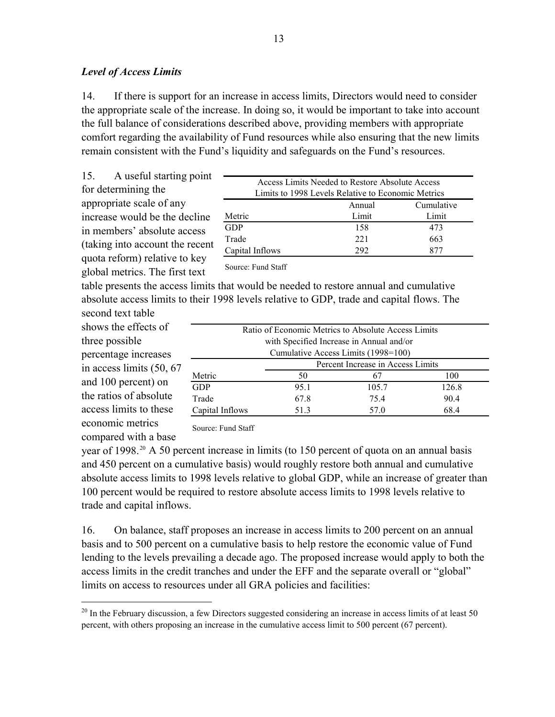### *Level of Access Limits*

14. If there is support for an increase in access limits, Directors would need to consider the appropriate scale of the increase. In doing so, it would be important to take into account the full balance of considerations described above, providing members with appropriate comfort regarding the availability of Fund resources while also ensuring that the new limits remain consistent with the Fund's liquidity and safeguards on the Fund's resources.

15. A useful starting point for determining the appropriate scale of any increase would be the decline in members' absolute access (taking into account the recent quota reform) relative to key global metrics. The first text

| Access Limits Needed to Restore Absolute Access    |        |            |  |  |  |
|----------------------------------------------------|--------|------------|--|--|--|
| Limits to 1998 Levels Relative to Economic Metrics |        |            |  |  |  |
|                                                    | Annual | Cumulative |  |  |  |
| Metric                                             | Limit  | Limit      |  |  |  |
| GDP                                                | 158    | 473        |  |  |  |
| Trade                                              | 221    | 663        |  |  |  |
| Capital Inflows                                    | 292    | 877        |  |  |  |

Source: Fund Staff

table presents the access limits that would be needed to restore annual and cumulative absolute access limits to their 1998 levels relative to GDP, trade and capital flows. The

second text table shows the effects of three possible percentage increases in access limits (50, 67 and 100 percent) on the ratios of absolute access limits to these economic metrics compared with a base

 $\overline{a}$ 

| Ratio of Economic Metrics to Absolute Access Limits |                                   |       |       |  |  |  |
|-----------------------------------------------------|-----------------------------------|-------|-------|--|--|--|
| with Specified Increase in Annual and/or            |                                   |       |       |  |  |  |
| Cumulative Access Limits (1998=100)                 |                                   |       |       |  |  |  |
|                                                     | Percent Increase in Access Limits |       |       |  |  |  |
| Metric                                              | 50                                | 67    | 100   |  |  |  |
| <b>GDP</b>                                          | 95.1                              | 105.7 | 126.8 |  |  |  |
| Trade                                               | 67.8                              | 754   | 90.4  |  |  |  |
| Capital Inflows                                     | 51.3                              | 57.0  | 68.4  |  |  |  |

Source: Fund Staff

year of 1998.<sup>[20](#page-12-0)</sup> A 50 percent increase in limits (to 150 percent of quota on an annual basis and 450 percent on a cumulative basis) would roughly restore both annual and cumulative absolute access limits to 1998 levels relative to global GDP, while an increase of greater than 100 percent would be required to restore absolute access limits to 1998 levels relative to trade and capital inflows.

16. On balance, staff proposes an increase in access limits to 200 percent on an annual basis and to 500 percent on a cumulative basis to help restore the economic value of Fund lending to the levels prevailing a decade ago. The proposed increase would apply to both the access limits in the credit tranches and under the EFF and the separate overall or "global" limits on access to resources under all GRA policies and facilities:

<span id="page-12-0"></span> $^{20}$  In the February discussion, a few Directors suggested considering an increase in access limits of at least 50 percent, with others proposing an increase in the cumulative access limit to 500 percent (67 percent).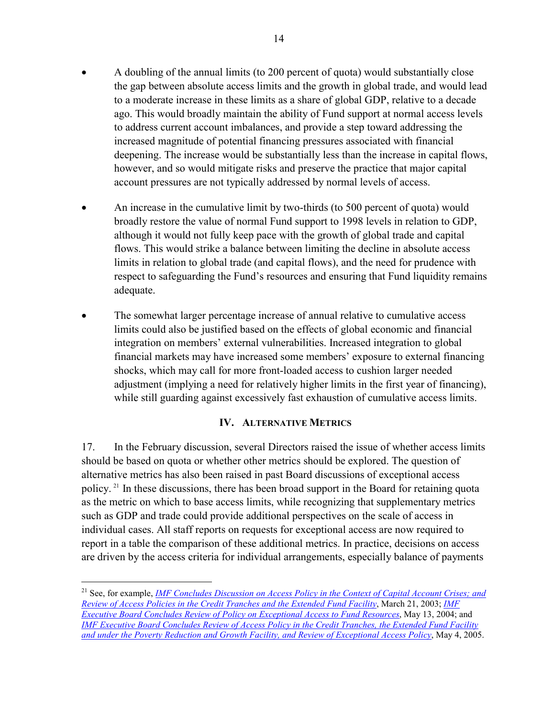- <span id="page-13-0"></span>• A doubling of the annual limits (to 200 percent of quota) would substantially close the gap between absolute access limits and the growth in global trade, and would lead to a moderate increase in these limits as a share of global GDP, relative to a decade ago. This would broadly maintain the ability of Fund support at normal access levels to address current account imbalances, and provide a step toward addressing the increased magnitude of potential financing pressures associated with financial deepening. The increase would be substantially less than the increase in capital flows, however, and so would mitigate risks and preserve the practice that major capital account pressures are not typically addressed by normal levels of access.
- An increase in the cumulative limit by two-thirds (to 500 percent of quota) would broadly restore the value of normal Fund support to 1998 levels in relation to GDP, although it would not fully keep pace with the growth of global trade and capital flows. This would strike a balance between limiting the decline in absolute access limits in relation to global trade (and capital flows), and the need for prudence with respect to safeguarding the Fund's resources and ensuring that Fund liquidity remains adequate.
- The somewhat larger percentage increase of annual relative to cumulative access limits could also be justified based on the effects of global economic and financial integration on members' external vulnerabilities. Increased integration to global financial markets may have increased some members' exposure to external financing shocks, which may call for more front-loaded access to cushion larger needed adjustment (implying a need for relatively higher limits in the first year of financing), while still guarding against excessively fast exhaustion of cumulative access limits.

## **IV. ALTERNATIVE METRICS**

17. In the February discussion, several Directors raised the issue of whether access limits should be based on quota or whether other metrics should be explored. The question of alternative metrics has also been raised in past Board discussions of exceptional access policy. [21](#page-13-1) In these discussions, there has been broad support in the Board for retaining quota as the metric on which to base access limits, while recognizing that supplementary metrics such as GDP and trade could provide additional perspectives on the scale of access in individual cases. All staff reports on requests for exceptional access are now required to report in a table the comparison of these additional metrics. In practice, decisions on access are driven by the access criteria for individual arrangements, especially balance of payments

<span id="page-13-1"></span><sup>21</sup> See, for example, *[IMF Concludes Discussion on Access Policy in the Context of Capital Account Crises; and](http://www.imf.org/external/np/sec/pn/2003/pn0337.htm)  [Review of Access Policies in the Credit Tranches and the Extended Fund Facility](http://www.imf.org/external/np/sec/pn/2003/pn0337.htm)*, March 21, 2003; *[IMF](http://www.imf.org/external/np/sec/pn/2004/pn0454.htm)  [Executive Board Concludes Review of Policy on Exceptional Access to Fund Resources](http://www.imf.org/external/np/sec/pn/2004/pn0454.htm)*, May 13, 2004; and *[IMF Executive Board Concludes Review of Access Policy in the Credit Tranches, the Extended Fund Facility](http://www.imf.org/external/np/sec/pn/2005/pn0558.htm)  [and under the Poverty Reduction and Growth Facility, and Review of Exceptional Access Policy](http://www.imf.org/external/np/sec/pn/2005/pn0558.htm)*, May 4, 2005.